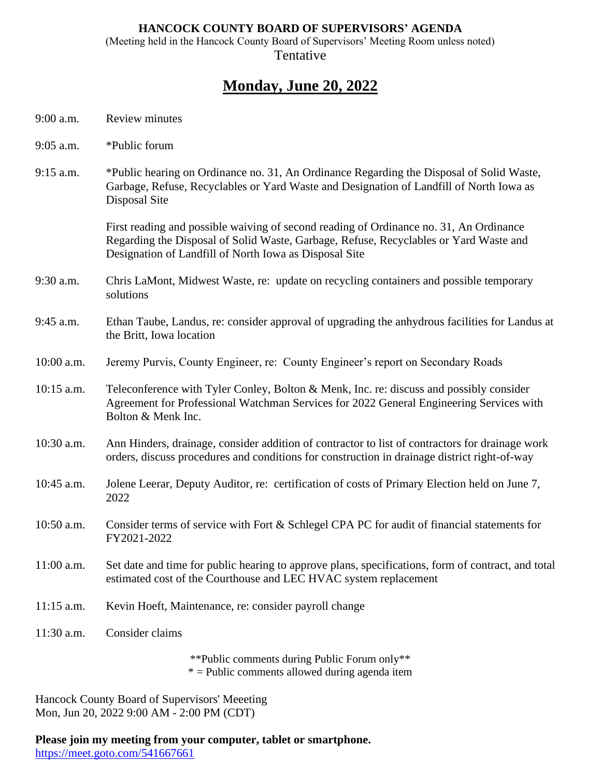## **HANCOCK COUNTY BOARD OF SUPERVISORS' AGENDA**

(Meeting held in the Hancock County Board of Supervisors' Meeting Room unless noted) **Tentative** 

## **Monday, June 20, 2022**

- 9:00 a.m. Review minutes
- 9:05 a.m. \*Public forum
- 9:15 a.m. \*Public hearing on Ordinance no. 31, An Ordinance Regarding the Disposal of Solid Waste, Garbage, Refuse, Recyclables or Yard Waste and Designation of Landfill of North Iowa as Disposal Site

First reading and possible waiving of second reading of Ordinance no. 31, An Ordinance Regarding the Disposal of Solid Waste, Garbage, Refuse, Recyclables or Yard Waste and Designation of Landfill of North Iowa as Disposal Site

- 9:30 a.m. Chris LaMont, Midwest Waste, re: update on recycling containers and possible temporary solutions
- 9:45 a.m. Ethan Taube, Landus, re: consider approval of upgrading the anhydrous facilities for Landus at the Britt, Iowa location
- 10:00 a.m. Jeremy Purvis, County Engineer, re: County Engineer's report on Secondary Roads
- 10:15 a.m. Teleconference with Tyler Conley, Bolton & Menk, Inc. re: discuss and possibly consider Agreement for Professional Watchman Services for 2022 General Engineering Services with Bolton & Menk Inc.
- 10:30 a.m. Ann Hinders, drainage, consider addition of contractor to list of contractors for drainage work orders, discuss procedures and conditions for construction in drainage district right-of-way
- 10:45 a.m. Jolene Leerar, Deputy Auditor, re: certification of costs of Primary Election held on June 7, 2022
- 10:50 a.m. Consider terms of service with Fort & Schlegel CPA PC for audit of financial statements for FY2021-2022
- 11:00 a.m. Set date and time for public hearing to approve plans, specifications, form of contract, and total estimated cost of the Courthouse and LEC HVAC system replacement
- 11:15 a.m. Kevin Hoeft, Maintenance, re: consider payroll change
- 11:30 a.m. Consider claims

\*\*Public comments during Public Forum only\*\*  $*$  = Public comments allowed during agenda item

Hancock County Board of Supervisors' Meeeting Mon, Jun 20, 2022 9:00 AM - 2:00 PM (CDT)

**Please join my meeting from your computer, tablet or smartphone.**  <https://meet.goto.com/541667661>